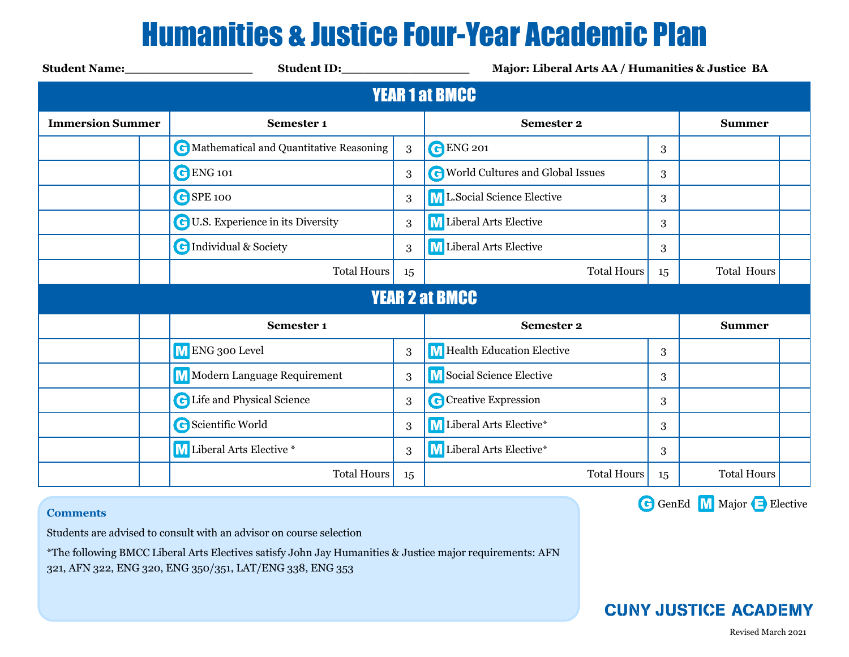## Humanities & Justice Four-Year Academic Plan

| <b>Student Name:</b>    | Student ID: North Student ID:             | Major: Liberal Arts AA / Humanities & Justice BA |                                           |               |                    |  |  |  |  |  |  |
|-------------------------|-------------------------------------------|--------------------------------------------------|-------------------------------------------|---------------|--------------------|--|--|--|--|--|--|
| <b>YEAR 1 at BMCC</b>   |                                           |                                                  |                                           |               |                    |  |  |  |  |  |  |
| <b>Immersion Summer</b> | Semester 1                                |                                                  | <b>Semester 2</b>                         | <b>Summer</b> |                    |  |  |  |  |  |  |
|                         | C Mathematical and Quantitative Reasoning | 3                                                | <b>C</b> ENG 201                          | 3             |                    |  |  |  |  |  |  |
|                         | <b>C</b> ENG 101                          | 3                                                | <b>C</b> World Cultures and Global Issues | 3             |                    |  |  |  |  |  |  |
|                         | GSPE 100                                  | 3                                                | ML.Social Science Elective                | 3             |                    |  |  |  |  |  |  |
|                         | <b>C</b> U.S. Experience in its Diversity | 3                                                | M Liberal Arts Elective                   | 3             |                    |  |  |  |  |  |  |
|                         | <b>C</b> Individual & Society             | 3                                                | M Liberal Arts Elective                   | 3             |                    |  |  |  |  |  |  |
|                         | <b>Total Hours</b>                        | 15                                               | <b>Total Hours</b>                        | 15            | <b>Total Hours</b> |  |  |  |  |  |  |
| <b>YEAR 2 at BMCC</b>   |                                           |                                                  |                                           |               |                    |  |  |  |  |  |  |
|                         | Semester 1                                |                                                  | <b>Semester 2</b>                         |               | <b>Summer</b>      |  |  |  |  |  |  |
|                         | M ENG 300 Level                           | 3                                                | M Health Education Elective               | 3             |                    |  |  |  |  |  |  |
|                         | <b>M</b> Modern Language Requirement      | 3                                                | M Social Science Elective                 | 3             |                    |  |  |  |  |  |  |
|                         | <b>C</b> Life and Physical Science        | 3                                                | C Creative Expression                     | 3             |                    |  |  |  |  |  |  |
|                         | <b>G</b> Scientific World                 | 3                                                | M Liberal Arts Elective*                  | 3             |                    |  |  |  |  |  |  |
|                         | M Liberal Arts Elective *                 | 3                                                | M Liberal Arts Elective*                  | 3             |                    |  |  |  |  |  |  |
|                         | <b>Total Hours</b>                        | 15                                               | <b>Total Hours</b>                        | 15            | <b>Total Hours</b> |  |  |  |  |  |  |

### **Comments**

Students are advised to consult with an advisor on course selection

\*The following BMCC Liberal Arts Electives satisfy John Jay Humanities & Justice major requirements: AFN

321, AFN 322, ENG 320, ENG 350/351, LAT/ENG 338, ENG 353

G GenEd M Major B Elective

### **CUNY JUSTICE ACADEMY**

Revised March 2021